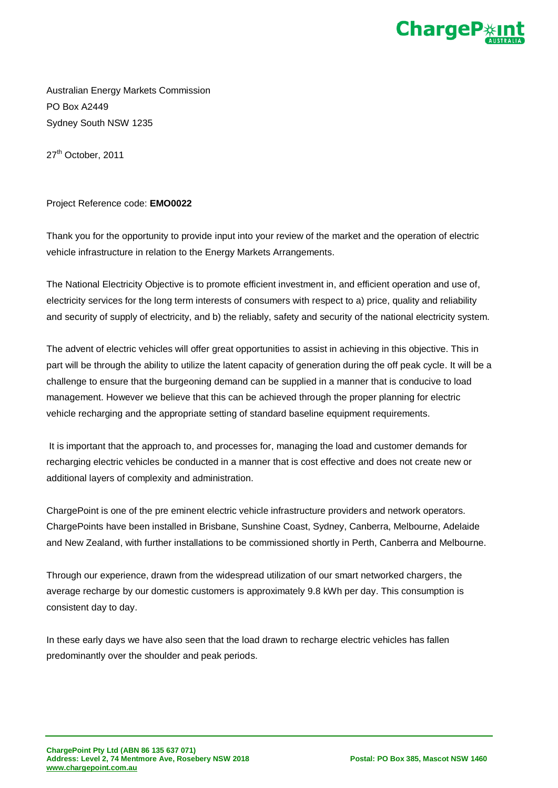

Australian Energy Markets Commission PO Box A2449 Sydney South NSW 1235

27<sup>th</sup> October, 2011

## Project Reference code: **EMO0022**

Thank you for the opportunity to provide input into your review of the market and the operation of electric vehicle infrastructure in relation to the Energy Markets Arrangements.

The National Electricity Objective is to promote efficient investment in, and efficient operation and use of, electricity services for the long term interests of consumers with respect to a) price, quality and reliability and security of supply of electricity, and b) the reliably, safety and security of the national electricity system.

The advent of electric vehicles will offer great opportunities to assist in achieving in this objective. This in part will be through the ability to utilize the latent capacity of generation during the off peak cycle. It will be a challenge to ensure that the burgeoning demand can be supplied in a manner that is conducive to load management. However we believe that this can be achieved through the proper planning for electric vehicle recharging and the appropriate setting of standard baseline equipment requirements.

It is important that the approach to, and processes for, managing the load and customer demands for recharging electric vehicles be conducted in a manner that is cost effective and does not create new or additional layers of complexity and administration.

ChargePoint is one of the pre eminent electric vehicle infrastructure providers and network operators. ChargePoints have been installed in Brisbane, Sunshine Coast, Sydney, Canberra, Melbourne, Adelaide and New Zealand, with further installations to be commissioned shortly in Perth, Canberra and Melbourne.

Through our experience, drawn from the widespread utilization of our smart networked chargers, the average recharge by our domestic customers is approximately 9.8 kWh per day. This consumption is consistent day to day.

In these early days we have also seen that the load drawn to recharge electric vehicles has fallen predominantly over the shoulder and peak periods.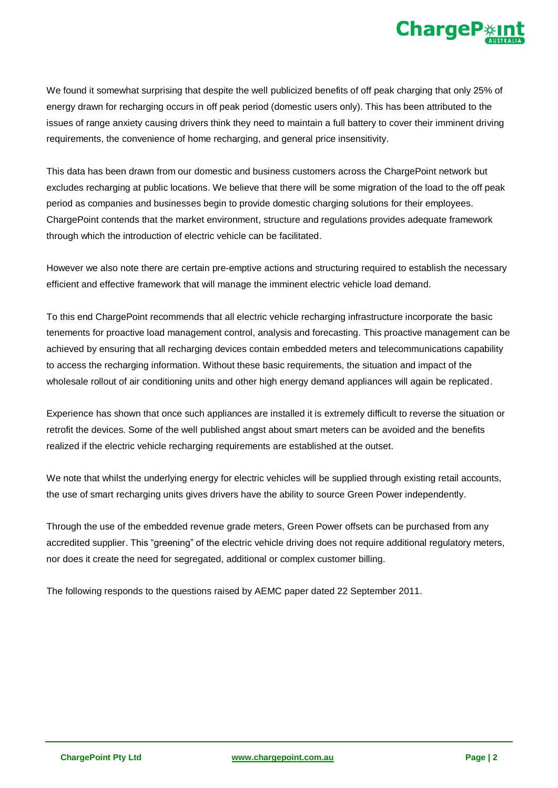

We found it somewhat surprising that despite the well publicized benefits of off peak charging that only 25% of energy drawn for recharging occurs in off peak period (domestic users only). This has been attributed to the issues of range anxiety causing drivers think they need to maintain a full battery to cover their imminent driving requirements, the convenience of home recharging, and general price insensitivity.

This data has been drawn from our domestic and business customers across the ChargePoint network but excludes recharging at public locations. We believe that there will be some migration of the load to the off peak period as companies and businesses begin to provide domestic charging solutions for their employees. ChargePoint contends that the market environment, structure and regulations provides adequate framework through which the introduction of electric vehicle can be facilitated.

However we also note there are certain pre-emptive actions and structuring required to establish the necessary efficient and effective framework that will manage the imminent electric vehicle load demand.

To this end ChargePoint recommends that all electric vehicle recharging infrastructure incorporate the basic tenements for proactive load management control, analysis and forecasting. This proactive management can be achieved by ensuring that all recharging devices contain embedded meters and telecommunications capability to access the recharging information. Without these basic requirements, the situation and impact of the wholesale rollout of air conditioning units and other high energy demand appliances will again be replicated.

Experience has shown that once such appliances are installed it is extremely difficult to reverse the situation or retrofit the devices. Some of the well published angst about smart meters can be avoided and the benefits realized if the electric vehicle recharging requirements are established at the outset.

We note that whilst the underlying energy for electric vehicles will be supplied through existing retail accounts, the use of smart recharging units gives drivers have the ability to source Green Power independently.

Through the use of the embedded revenue grade meters, Green Power offsets can be purchased from any accredited supplier. This "greening" of the electric vehicle driving does not require additional regulatory meters, nor does it create the need for segregated, additional or complex customer billing.

The following responds to the questions raised by AEMC paper dated 22 September 2011.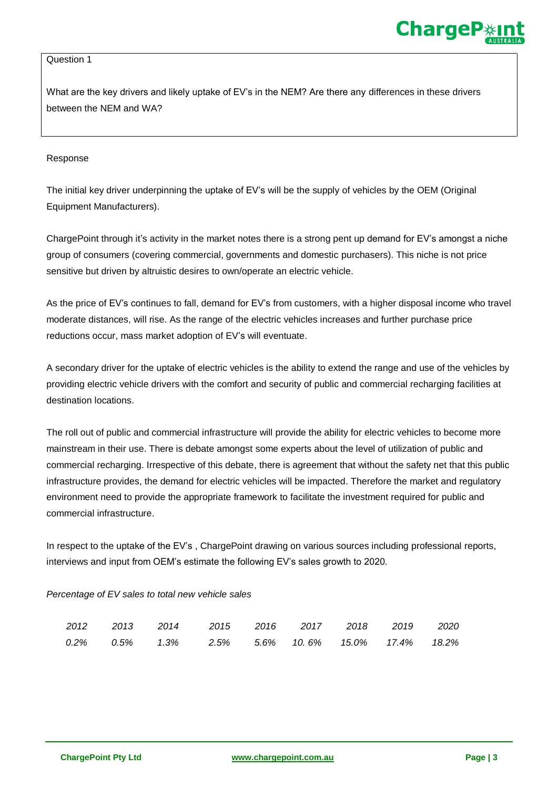### Question 1

What are the key drivers and likely uptake of EV's in the NEM? Are there any differences in these drivers between the NEM and WA?

### Response

The initial key driver underpinning the uptake of EV's will be the supply of vehicles by the OEM (Original Equipment Manufacturers).

ChargePoint through it's activity in the market notes there is a strong pent up demand for EV's amongst a niche group of consumers (covering commercial, governments and domestic purchasers). This niche is not price sensitive but driven by altruistic desires to own/operate an electric vehicle.

As the price of EV's continues to fall, demand for EV's from customers, with a higher disposal income who travel moderate distances, will rise. As the range of the electric vehicles increases and further purchase price reductions occur, mass market adoption of EV's will eventuate.

A secondary driver for the uptake of electric vehicles is the ability to extend the range and use of the vehicles by providing electric vehicle drivers with the comfort and security of public and commercial recharging facilities at destination locations.

The roll out of public and commercial infrastructure will provide the ability for electric vehicles to become more mainstream in their use. There is debate amongst some experts about the level of utilization of public and commercial recharging. Irrespective of this debate, there is agreement that without the safety net that this public infrastructure provides, the demand for electric vehicles will be impacted. Therefore the market and regulatory environment need to provide the appropriate framework to facilitate the investment required for public and commercial infrastructure.

In respect to the uptake of the EV's , ChargePoint drawing on various sources including professional reports, interviews and input from OEM's estimate the following EV's sales growth to 2020.

## *Percentage of EV sales to total new vehicle sales*

|  | 2012  2013  2014  2015  2016  2017  2018  2019  2020                        |  |  |  |
|--|-----------------------------------------------------------------------------|--|--|--|
|  | $0.2\%$ $0.5\%$ $1.3\%$ $2.5\%$ $5.6\%$ $10.6\%$ $15.0\%$ $17.4\%$ $18.2\%$ |  |  |  |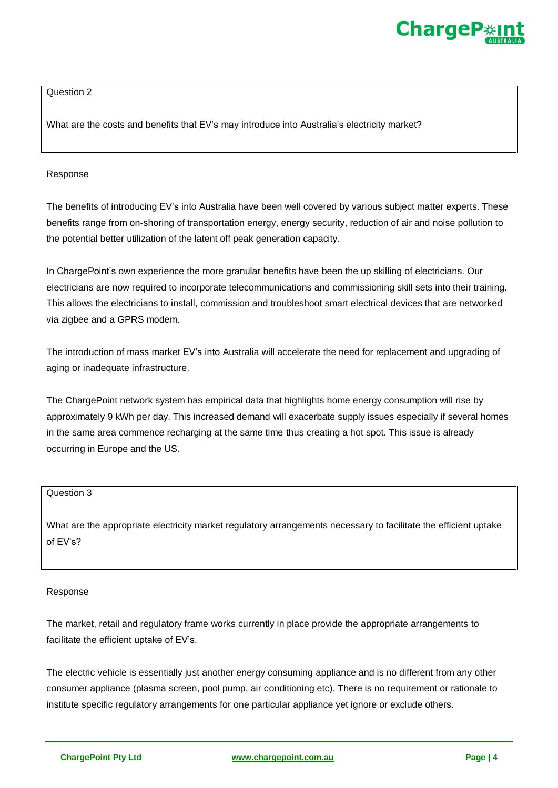

## Question 2

What are the costs and benefits that EV's may introduce into Australia's electricity market?

## Response

The benefits of introducing EV's into Australia have been well covered by various subject matter experts. These benefits range from on-shoring of transportation energy, energy security, reduction of air and noise pollution to the potential better utilization of the latent off peak generation capacity.

In ChargePoint's own experience the more granular benefits have been the up skilling of electricians. Our electricians are now required to incorporate telecommunications and commissioning skill sets into their training. This allows the electricians to install, commission and troubleshoot smart electrical devices that are networked via zigbee and a GPRS modem.

The introduction of mass market EV's into Australia will accelerate the need for replacement and upgrading of aging or inadequate infrastructure.

The ChargePoint network system has empirical data that highlights home energy consumption will rise by approximately 9 kWh per day. This increased demand will exacerbate supply issues especially if several homes in the same area commence recharging at the same time thus creating a hot spot. This issue is already occurring in Europe and the US.

# Question 3

What are the appropriate electricity market regulatory arrangements necessary to facilitate the efficient uptake of EV's?

#### Response

The market, retail and regulatory frame works currently in place provide the appropriate arrangements to facilitate the efficient uptake of EV's.

The electric vehicle is essentially just another energy consuming appliance and is no different from any other consumer appliance (plasma screen, pool pump, air conditioning etc). There is no requirement or rationale to institute specific regulatory arrangements for one particular appliance yet ignore or exclude others.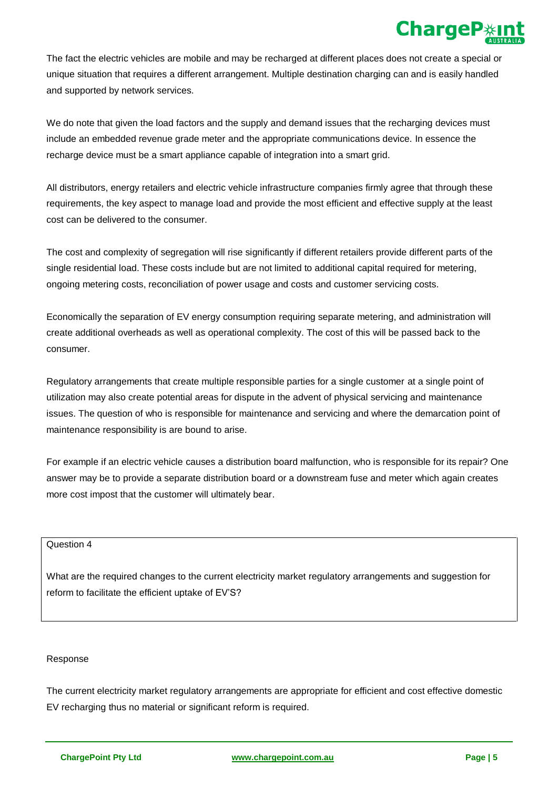

The fact the electric vehicles are mobile and may be recharged at different places does not create a special or unique situation that requires a different arrangement. Multiple destination charging can and is easily handled and supported by network services.

We do note that given the load factors and the supply and demand issues that the recharging devices must include an embedded revenue grade meter and the appropriate communications device. In essence the recharge device must be a smart appliance capable of integration into a smart grid.

All distributors, energy retailers and electric vehicle infrastructure companies firmly agree that through these requirements, the key aspect to manage load and provide the most efficient and effective supply at the least cost can be delivered to the consumer.

The cost and complexity of segregation will rise significantly if different retailers provide different parts of the single residential load. These costs include but are not limited to additional capital required for metering, ongoing metering costs, reconciliation of power usage and costs and customer servicing costs.

Economically the separation of EV energy consumption requiring separate metering, and administration will create additional overheads as well as operational complexity. The cost of this will be passed back to the consumer.

Regulatory arrangements that create multiple responsible parties for a single customer at a single point of utilization may also create potential areas for dispute in the advent of physical servicing and maintenance issues. The question of who is responsible for maintenance and servicing and where the demarcation point of maintenance responsibility is are bound to arise.

For example if an electric vehicle causes a distribution board malfunction, who is responsible for its repair? One answer may be to provide a separate distribution board or a downstream fuse and meter which again creates more cost impost that the customer will ultimately bear.

Question 4

What are the required changes to the current electricity market regulatory arrangements and suggestion for reform to facilitate the efficient uptake of EV'S?

## Response

The current electricity market regulatory arrangements are appropriate for efficient and cost effective domestic EV recharging thus no material or significant reform is required.